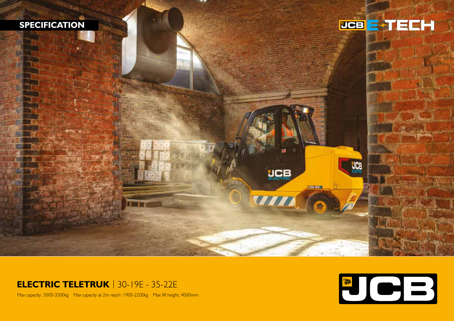

## **ELECTRIC TELETRUK** | 30-19E - 35-22E

Max capacity: 3000-3500kg Max capacity at 2m reach: 1900-2200kg Max lift height: 4000mm

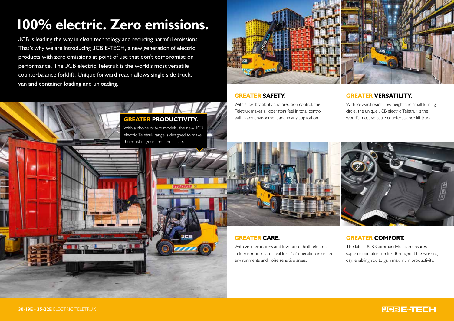# **100% electric. Zero emissions.**

JCB is leading the way in clean technology and reducing harmful emissions. That's why we are introducing JCB E-TECH, a new generation of electric products with zero emissions at point of use that don't compromise on performance. The JCB electric Teletruk is the world's most versatile counterbalance forklift. Unique forward reach allows single side truck, van and container loading and unloading.

> **GREATER PRODUCTIVITY.** With a choice of two models, the new JCB electric Teletruk range is designed to make

the most of your time and space.



#### **GREATER SAFETY.**

With superb visibility and precision control, the Teletruk makes all operators feel in total control within any environment and in any application.

#### **GREATER VERSATILITY.**

With forward reach, low height and small turning circle, the unique JCB electric Teletruk is the world's most versatile counterbalance lift truck.



#### **GREATER CARE.**

With zero emissions and low noise, both electric Teletruk models are ideal for 24/7 operation in urban environments and noise sensitive areas.

#### **GREATER COMFORT.**

The latest JCB CommandPlus cab ensures superior operator comfort throughout the working day, enabling you to gain maximum productivity.

#### **30-19E - 35-22E** ELECTRIC TELETRUK

### PCBE-TEEH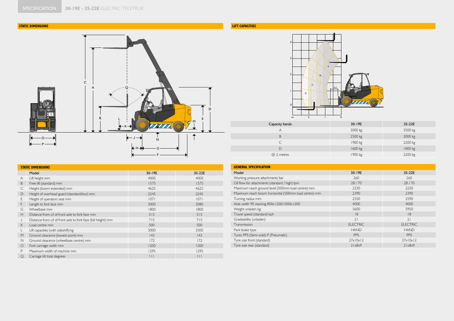#### **STATIC DIMENSIONS**



| <b>STATIC DIMENSIONS</b> |                                                               |        |        |  |
|--------------------------|---------------------------------------------------------------|--------|--------|--|
|                          | Model                                                         | 30-19E | 35-22E |  |
| A                        | Lift height mm                                                | 4000   | 4000   |  |
| B                        | Free lift (standard) mm                                       | 1575   | 1575   |  |
| C                        | Height (boom extended) mm                                     | 4625   | 4625   |  |
| D                        | Height of overhead guard (standard/low) mm                    | 2245   | 2245   |  |
| E                        | Height of operators seat mm                                   | 1071   | 1071   |  |
| F                        | Length to fork face mm                                        | 3000   | 3080   |  |
| G                        | Wheelbase mm                                                  | 1800   | 1800   |  |
| H                        | Distance from c/l of front axle to fork face mm               | 515    | 515    |  |
| J                        | Distance from c/l of front axle to fork face (full height) mm | 715    | 715    |  |
| K                        | Load centre mm                                                | 500    | 500    |  |
| L                        | Lift capacities (with sideshift) kg                           | 3000   | 3500   |  |
| M                        | Ground clearance (lowest point) mm                            | 43     | 43     |  |
| N                        | Ground clearance (wheelbase centre) mm                        | 172    | 172    |  |
| $\circ$                  | Fork carriage width mm                                        | 1200   | 1200   |  |
| P                        | Maximum width of machine mm                                   | 1295   | 1295   |  |
| Q                        | Carriage tilt total degrees                                   | $\Box$ | $\Box$ |  |

#### **LIFT CAPACITIES**



| Capacity bands | 30-19E  | 35-22E  |
|----------------|---------|---------|
| A              | 3000 kg | 3500 kg |
| B              | 2500 kg | 3000 kg |
| C.             | 1900 kg | 2200 kg |
| $\mathsf{D}$   | 1600 kg | 1800 kg |
| @ 2 metres     | 1900 kg | 2200 kg |

| <b>GENERAL SPECIFICATION</b>                         |                          |                          |  |  |  |
|------------------------------------------------------|--------------------------|--------------------------|--|--|--|
| Model                                                | 30-19E                   | 35-22E                   |  |  |  |
| Working pressure attachments bar                     | 260                      | 260                      |  |  |  |
| Oil flow for attachments (standard / high) lpm       | 28/70                    | 28/70                    |  |  |  |
| Maximum reach ground level (500mm load centre) mm    | 2230                     | 2230                     |  |  |  |
| Maximum reach boom horizontal (500mm load centre) mm | 2390                     | 2390                     |  |  |  |
| Turning radius mm                                    | 2550                     | 2590                     |  |  |  |
| Aisle width 90 stacking 800x1200/1000x1200           | 4000                     | 4000                     |  |  |  |
| Weight unladen kg                                    | 5600                     | 5950                     |  |  |  |
| Travel speed (standard) kph                          | 8                        | 8                        |  |  |  |
| Gradeability (unladen)                               | 21                       | 21                       |  |  |  |
| Transmission                                         | <b>ELECTRIC</b>          | <b>ELECTRIC</b>          |  |  |  |
| Park brake type                                      | <b>HAND</b>              | <b>HAND</b>              |  |  |  |
| Tyres PPS (Semi solid) P (Pneumatic)                 | <b>PPS</b>               | <b>PPS</b>               |  |  |  |
| Tyre size front (standard)                           | $27 \times 10 \times 12$ | $27 \times 10 \times 12$ |  |  |  |
| Tyre size rear (standard)                            | $21\times8\times9$       | 21x8x9                   |  |  |  |